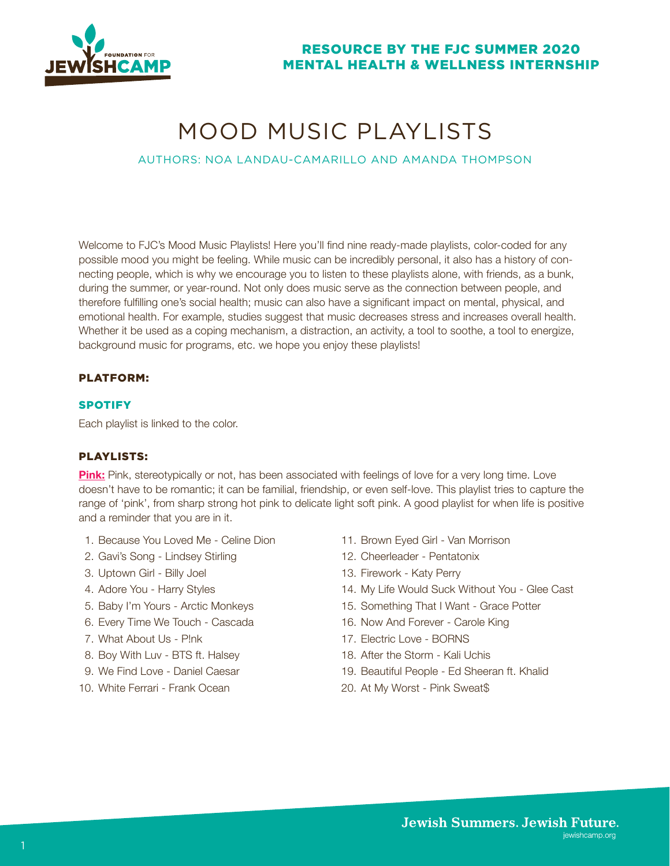

# MOOD MUSIC PLAYLISTS

## AUTHORS: NOA LANDAU-CAMARILLO AND AMANDA THOMPSON

Welcome to FJC's Mood Music Playlists! Here you'll find nine ready-made playlists, color-coded for any possible mood you might be feeling. While music can be incredibly personal, it also has a history of connecting people, which is why we encourage you to listen to these playlists alone, with friends, as a bunk, during the summer, or year-round. Not only does music serve as the connection between people, and therefore fulfilling one's social health; music can also have a significant impact on mental, physical, and emotional health. For example, studies suggest that music decreases stress and increases overall health. Whether it be used as a coping mechanism, a distraction, an activity, a tool to soothe, a tool to energize, background music for programs, etc. we hope you enjoy these playlists!

### PLATFORM:

#### **SPOTIFY**

Each playlist is linked to the color.

#### PLAYLISTS:

**[Pink:](https://open.spotify.com/playlist/2owLvn0otIzZXTHkvgPbeS?si=3MXf9jIeR4mfHmbhQu1vtQ)** Pink, stereotypically or not, has been associated with feelings of love for a very long time. Love doesn't have to be romantic; it can be familial, friendship, or even self-love. This playlist tries to capture the range of 'pink', from sharp strong hot pink to delicate light soft pink. A good playlist for when life is positive and a reminder that you are in it.

- 1. Because You Loved Me Celine Dion
- 2. Gavi's Song Lindsey Stirling
- 3. Uptown Girl Billy Joel
- 4. Adore You Harry Styles
- 5. Baby I'm Yours Arctic Monkeys
- 6. Every Time We Touch Cascada
- 7. What About Us P!nk
- 8. Boy With Luv BTS ft. Halsey
- 9. We Find Love Daniel Caesar
- 10. White Ferrari Frank Ocean
- 11. Brown Eyed Girl Van Morrison
- 12. Cheerleader Pentatonix
- 13. Firework Katy Perry
- 14. My Life Would Suck Without You Glee Cast
- 15. Something That I Want Grace Potter
- 16. Now And Forever Carole King
- 17. Electric Love BORNS
- 18. After the Storm Kali Uchis
- 19. Beautiful People Ed Sheeran ft. Khalid
- 20. At My Worst Pink Sweat\$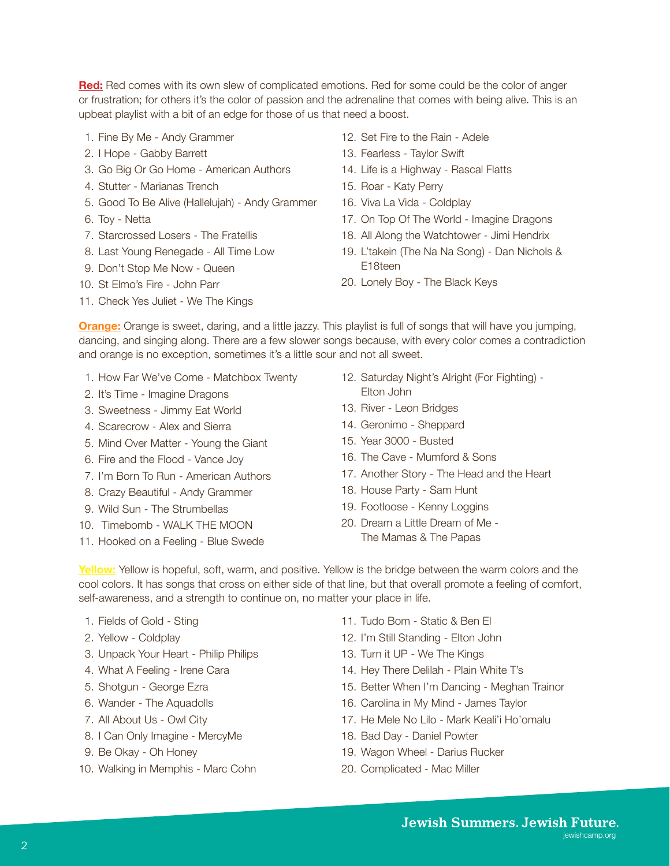**[Red:](https://open.spotify.com/playlist/3e4IUEvbZdybumyl0vBlKC?si=CLxMb3_3Rv-4FXw0HbfQQA)** Red comes with its own slew of complicated emotions. Red for some could be the color of anger or frustration; for others it's the color of passion and the adrenaline that comes with being alive. This is an upbeat playlist with a bit of an edge for those of us that need a boost.

- 1. Fine By Me Andy Grammer
- 2. I Hope Gabby Barrett
- 3. Go Big Or Go Home American Authors
- 4. Stutter Marianas Trench
- 5. Good To Be Alive (Hallelujah) Andy Grammer
- 6. Toy Netta
- 7. Starcrossed Losers The Fratellis
- 8. Last Young Renegade All Time Low
- 9. Don't Stop Me Now Queen
- 10. St Elmo's Fire John Parr
- 11. Check Yes Juliet We The Kings
- 12. Set Fire to the Rain Adele
- 13. Fearless Taylor Swift
- 14. Life is a Highway Rascal Flatts
- 15. Roar Katy Perry
- 16. Viva La Vida Coldplay
- 17. On Top Of The World Imagine Dragons
- 18. All Along the Watchtower Jimi Hendrix
- 19. L'takein (The Na Na Song) Dan Nichols & E18teen
- 20. Lonely Boy The Black Keys

**[Orange:](https://open.spotify.com/playlist/7JSQsbOwM7NsDNdHlM3Shn?si=7dTN2jt-QRGOHhR0flPR7g)** Orange is sweet, daring, and a little jazzy. This playlist is full of songs that will have you jumping, dancing, and singing along. There are a few slower songs because, with every color comes a contradiction and orange is no exception, sometimes it's a little sour and not all sweet.

- 1. How Far We've Come Matchbox Twenty
- 2. It's Time Imagine Dragons
- 3. Sweetness Jimmy Eat World
- 4. Scarecrow Alex and Sierra
- 5. Mind Over Matter Young the Giant
- 6. Fire and the Flood Vance Joy
- 7. I'm Born To Run American Authors
- 8. Crazy Beautiful Andy Grammer
- 9. Wild Sun The Strumbellas
- 10. Timebomb WALK THE MOON
- 11. Hooked on a Feeling Blue Swede
- 12. Saturday Night's Alright (For Fighting) Elton John
- 13. River Leon Bridges
- 14. Geronimo Sheppard
- 15. Year 3000 Busted
- 16. The Cave Mumford & Sons
- 17. Another Story The Head and the Heart
- 18. House Party Sam Hunt
- 19. Footloose Kenny Loggins
- 20. Dream a Little Dream of Me The Mamas & The Papas

**[Yellow](https://open.spotify.com/playlist/5brFDCOgj6qvr2C4LC3u96?si=7egaxICqROOSLFBTK_mh5A)[:](https://open.spotify.com/playlist/7JSQsbOwM7NsDNdHlM3Shn?si=7dTN2jt-QRGOHhR0flPR7g)** Yellow is hopeful, soft, warm, and positive. Yellow is the bridge between the warm colors and the cool colors. It has songs that cross on either side of that line, but that overall promote a feeling of comfort, self-awareness, and a strength to continue on, no matter your place in life.

- 1. Fields of Gold Sting
- 2. Yellow Coldplay
- 3. Unpack Your Heart Philip Philips
- 4. What A Feeling Irene Cara
- 5. Shotgun George Ezra
- 6. Wander The Aquadolls
- 7. All About Us Owl City
- 8. I Can Only Imagine MercyMe
- 9. Be Okay Oh Honey
- 10. Walking in Memphis Marc Cohn
- 11. Tudo Bom Static & Ben El
- 12. I'm Still Standing Elton John
- 13. Turn it UP We The Kings
- 14. Hey There Delilah Plain White T's
- 15. Better When I'm Dancing Meghan Trainor
- 16. Carolina in My Mind James Taylor
- 17. He Mele No Lilo Mark Keali'i Ho'omalu
- 18. Bad Day Daniel Powter
- 19. Wagon Wheel Darius Rucker
- 20. Complicated Mac Miller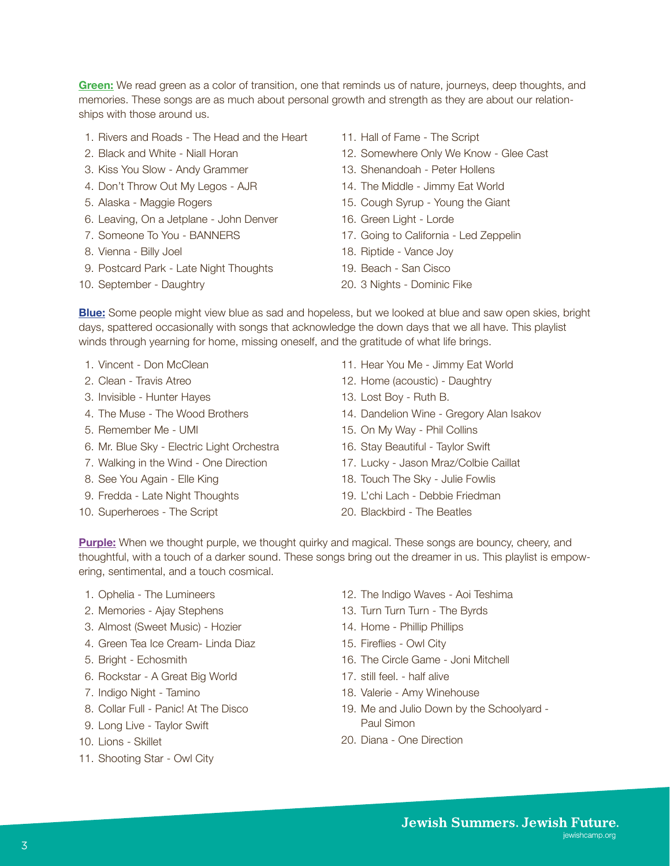**Green[:](https://open.spotify.com/playlist/5AtZmUgP9brIPrsNEaXX7N?si=NB7XICsoQ_GO91sKidrc9A)** We read green as a color of transition, one that reminds us of nature, journeys, deep thoughts, and memories. These songs are as much about personal growth and strength as they are about our relationships with those around us.

- 1. Rivers and Roads The Head and the Heart
- 2. Black and White Niall Horan
- 3. Kiss You Slow Andy Grammer
- 4. Don't Throw Out My Legos AJR
- 5. Alaska Maggie Rogers
- 6. Leaving, On a Jetplane John Denver
- 7. Someone To You BANNERS
- 8. Vienna Billy Joel
- 9. Postcard Park Late Night Thoughts
- 10. September Daughtry
- 11. Hall of Fame The Script
- 12. Somewhere Only We Know Glee Cast
- 13. Shenandoah Peter Hollens
- 14. The Middle Jimmy Eat World
- 15. Cough Syrup Young the Giant
- 16. Green Light Lorde
- 17. Going to California Led Zeppelin
- 18. Riptide Vance Joy
- 19. Beach San Cisco
- 20. 3 Nights Dominic Fike

**Blu[e:](https://open.spotify.com/playlist/0jZdoVWCoVxOIeqoPP94kk?si=ddbCAOr7S6S7DVcSdyL4OA)** Some people might view blue as sad and hopeless, but we looked at blue and saw open skies, bright days, spattered occasionally with songs that acknowledge the down days that we all have. This playlist winds through yearning for home, missing oneself, and the gratitude of what life brings.

- 1. Vincent Don McClean
- 2. Clean Travis Atreo
- 3. Invisible Hunter Hayes
- 4. The Muse The Wood Brothers
- 5. Remember Me UMI
- 6. Mr. Blue Sky Electric Light Orchestra
- 7. Walking in the Wind One Direction
- 8. See You Again Elle King
- 9. Fredda Late Night Thoughts
- 10. Superheroes The Script
- 11. Hear You Me Jimmy Eat World
- 12. Home (acoustic) Daughtry
- 13. Lost Boy Ruth B.
- 14. Dandelion Wine Gregory Alan Isakov
- 15. On My Way Phil Collins
- 16. Stay Beautiful Taylor Swift
- 17. Lucky Jason Mraz/Colbie Caillat
- 18. Touch The Sky Julie Fowlis
- 19. L'chi Lach Debbie Friedman
- 20. Blackbird The Beatles

**Purpl[e:](https://open.spotify.com/playlist/6zoQzshx7gl3kP5LJxj5w1?si=sdLAAgGwRH2iwH_NExwKgg)** When we thought purple, we thought quirky and magical. These songs are bouncy, cheery, and thoughtful, with a touch of a darker sound. These songs bring out the dreamer in us. This playlist is empowering, sentimental, and a touch cosmical.

- 1. Ophelia The Lumineers
- 2. Memories Ajay Stephens
- 3. Almost (Sweet Music) Hozier
- 4. Green Tea Ice Cream- Linda Diaz
- 5. Bright Echosmith
- 6. Rockstar A Great Big World
- 7. Indigo Night Tamino
- 8. Collar Full Panic! At The Disco
- 9. Long Live Taylor Swift
- 10. Lions Skillet
- 11. Shooting Star Owl City
- 12. The Indigo Waves Aoi Teshima
- 13. Turn Turn Turn The Byrds
- 14. Home Phillip Phillips
- 15. Fireflies Owl City
- 16. The Circle Game Joni Mitchell
- 17. still feel. half alive
- 18. Valerie Amy Winehouse
- 19. Me and Julio Down by the Schoolyard Paul Simon
- 20. Diana One Direction